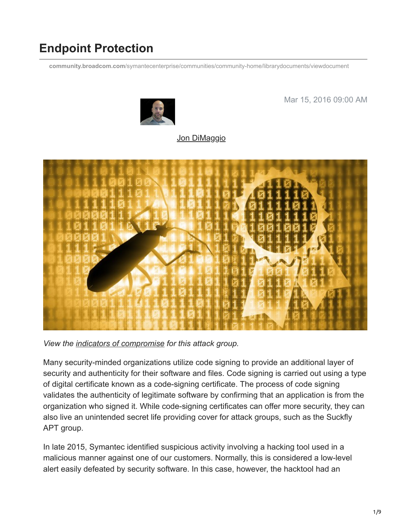# **Endpoint Protection**

**community.broadcom.com**[/symantecenterprise/communities/community-home/librarydocuments/viewdocument](https://community.broadcom.com/symantecenterprise/communities/community-home/librarydocuments/viewdocument?DocumentKey=62e325ae-f551-4855-b9cf-28a7d52d1534&CommunityKey=1ecf5f55-9545-44d6-b0f4-4e4a7f5f5e68&tab=librarydocuments)



Mar 15, 2016 09:00 AM

# [Jon DiMaggio](https://community.broadcom.com/symantecenterprise/network/members/profile?UserKey=9b28db22-405f-4552-81a7-1c8c7ab2a4fa)



*View the [indicators of compromise](https://community.broadcom.com/symantecenterprise/viewdocument?DocumentKey=62e325ae-f551-4855-b9cf-28a7d52d1534&CommunityKey=1ecf5f55-9545-44d6-b0f4-4e4a7f5f5e68&tab=librarydocuments) for this attack group.*

Many security-minded organizations utilize code signing to provide an additional layer of security and authenticity for their software and files. Code signing is carried out using a type of digital certificate known as a code-signing certificate. The process of code signing validates the authenticity of legitimate software by confirming that an application is from the organization who signed it. While code-signing certificates can offer more security, they can also live an unintended secret life providing cover for attack groups, such as the Suckfly APT group.

In late 2015, Symantec identified suspicious activity involving a hacking tool used in a malicious manner against one of our customers. Normally, this is considered a low-level alert easily defeated by security software. In this case, however, the hacktool had an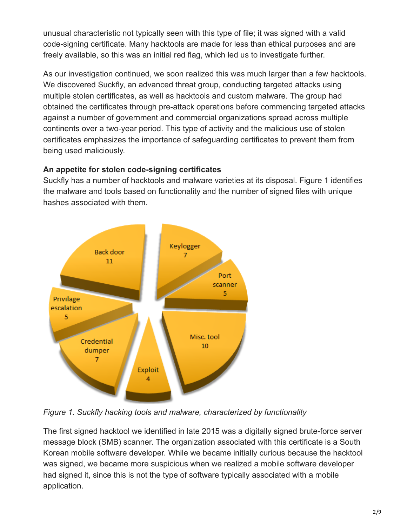unusual characteristic not typically seen with this type of file; it was signed with a valid code-signing certificate. Many hacktools are made for less than ethical purposes and are freely available, so this was an initial red flag, which led us to investigate further.

As our investigation continued, we soon realized this was much larger than a few hacktools. We discovered Suckfly, an advanced threat group, conducting targeted attacks using multiple stolen certificates, as well as hacktools and custom malware. The group had obtained the certificates through pre-attack operations before commencing targeted attacks against a number of government and commercial organizations spread across multiple continents over a two-year period. This type of activity and the malicious use of stolen certificates emphasizes the importance of safeguarding certificates to prevent them from being used maliciously.

#### **An appetite for stolen code-signing certificates**

Suckfly has a number of hacktools and malware varieties at its disposal. Figure 1 identifies the malware and tools based on functionality and the number of signed files with unique hashes associated with them.



*Figure 1. Suckfly hacking tools and malware, characterized by functionality*

The first signed hacktool we identified in late 2015 was a digitally signed brute-force server message block (SMB) scanner. The organization associated with this certificate is a South Korean mobile software developer. While we became initially curious because the hacktool was signed, we became more suspicious when we realized a mobile software developer had signed it, since this is not the type of software typically associated with a mobile application.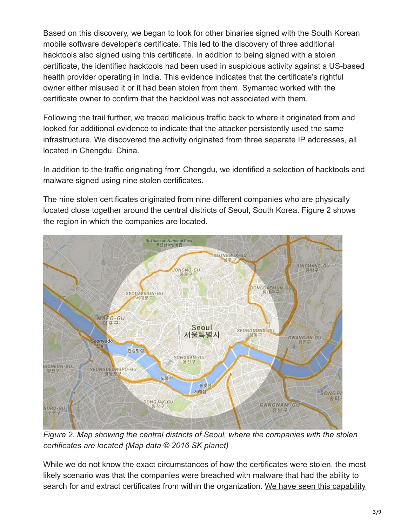Based on this discovery, we began to look for other binaries signed with the South Korean mobile software developer's certificate. This led to the discovery of three additional hacktools also signed using this certificate. In addition to being signed with a stolen certificate, the identified hacktools had been used in suspicious activity against a US-based health provider operating in India. This evidence indicates that the certificate's rightful owner either misused it or it had been stolen from them. Symantec worked with the certificate owner to confirm that the hacktool was not associated with them.

Following the trail further, we traced malicious traffic back to where it originated from and looked for additional evidence to indicate that the attacker persistently used the same infrastructure. We discovered the activity originated from three separate IP addresses, all located in Chengdu, China.

In addition to the traffic originating from Chengdu, we identified a selection of hacktools and malware signed using nine stolen certificates.

The nine stolen certificates originated from nine different companies who are physically located close together around the central districts of Seoul, South Korea. Figure 2 shows the region in which the companies are located.



*Figure 2. Map showing the central districts of Seoul, where the companies with the stolen certificates are located (Map data © 2016 SK planet)*

While we do not know the exact circumstances of how the certificates were stolen, the most likely scenario was that the companies were breached with malware that had the ability to [search for and extract certificates from within the organization. We have seen this capability](https://community.broadcom.com/symantecenterprise/viewdocument?DocumentKey=237adfd4-eb62-43b4-8424-78ea5f427b80&CommunityKey=1ecf5f55-9545-44d6-b0f4-4e4a7f5f5e68&tab=librarydocuments)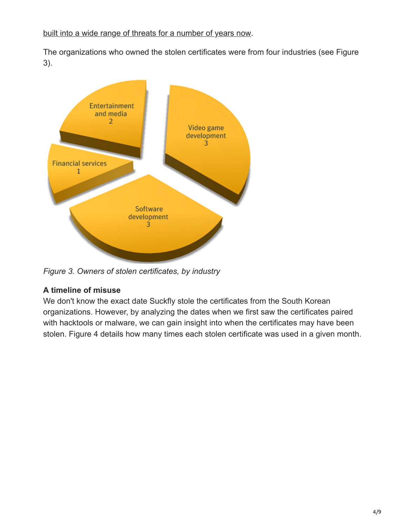#### [built into a wide range of threats for a number of years now.](https://community.broadcom.com/symantecenterprise/viewdocument?DocumentKey=237adfd4-eb62-43b4-8424-78ea5f427b80&CommunityKey=1ecf5f55-9545-44d6-b0f4-4e4a7f5f5e68&tab=librarydocuments)

The organizations who owned the stolen certificates were from four industries (see Figure 3).



*Figure 3. Owners of stolen certificates, by industry*

## **A timeline of misuse**

We don't know the exact date Suckfly stole the certificates from the South Korean organizations. However, by analyzing the dates when we first saw the certificates paired with hacktools or malware, we can gain insight into when the certificates may have been stolen. Figure 4 details how many times each stolen certificate was used in a given month.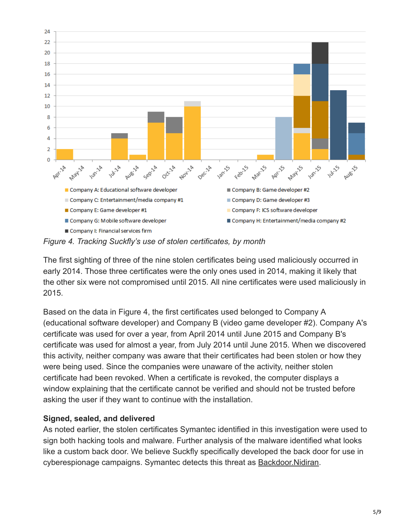

*Figure 4. Tracking Suckfly's use of stolen certificates, by month*

The first sighting of three of the nine stolen certificates being used maliciously occurred in early 2014. Those three certificates were the only ones used in 2014, making it likely that the other six were not compromised until 2015. All nine certificates were used maliciously in 2015.

Based on the data in Figure 4, the first certificates used belonged to Company A (educational software developer) and Company B (video game developer #2). Company A's certificate was used for over a year, from April 2014 until June 2015 and Company B's certificate was used for almost a year, from July 2014 until June 2015. When we discovered this activity, neither company was aware that their certificates had been stolen or how they were being used. Since the companies were unaware of the activity, neither stolen certificate had been revoked. When a certificate is revoked, the computer displays a window explaining that the certificate cannot be verified and should not be trusted before asking the user if they want to continue with the installation.

## **Signed, sealed, and delivered**

As noted earlier, the stolen certificates Symantec identified in this investigation were used to sign both hacking tools and malware. Further analysis of the malware identified what looks like a custom back door. We believe Suckfly specifically developed the back door for use in cyberespionage campaigns. Symantec detects this threat as **Backdoor.Nidiran**.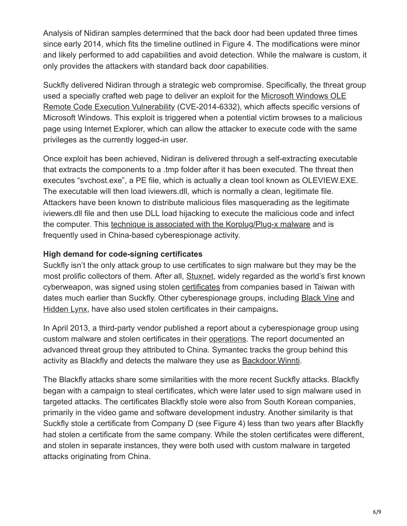Analysis of Nidiran samples determined that the back door had been updated three times since early 2014, which fits the timeline outlined in Figure 4. The modifications were minor and likely performed to add capabilities and avoid detection. While the malware is custom, it only provides the attackers with standard back door capabilities.

Suckfly delivered Nidiran through a strategic web compromise. Specifically, the threat group [used a specially crafted web page to deliver an exploit for the Microsoft Windows OLE](http://www.symantec.com/security_response/vulnerability.jsp?bid=70952) Remote Code Execution Vulnerability (CVE-2014-6332), which affects specific versions of Microsoft Windows. This exploit is triggered when a potential victim browses to a malicious page using Internet Explorer, which can allow the attacker to execute code with the same privileges as the currently logged-in user.

Once exploit has been achieved, Nidiran is delivered through a self-extracting executable that extracts the components to a .tmp folder after it has been executed. The threat then executes "svchost.exe", a PE file, which is actually a clean tool known as OLEVIEW.EXE. The executable will then load iviewers.dll, which is normally a clean, legitimate file. Attackers have been known to distribute malicious files masquerading as the legitimate iviewers.dll file and then use DLL load hijacking to execute the malicious code and infect the computer. This [technique is associated with the Korplug/Plug-x malware](https://community.broadcom.com/symantecenterprise/viewdocument?DocumentKey=92ba6c16-9661-478c-bda5-6427f3061ab6&CommunityKey=1ecf5f55-9545-44d6-b0f4-4e4a7f5f5e68&tab=librarydocuments) and is frequently used in China-based cyberespionage activity.

#### **High demand for code-signing certificates**

Suckfly isn't the only attack group to use certificates to sign malware but they may be the most prolific collectors of them. After all, [Stuxnet](http://www.symantec.com/security_response/writeup.jsp?docid=2010-071400-3123-99), widely regarded as the world's first known cyberweapon, was signed using stolen [certificates](http://www.welivesecurity.com/2010/07/22/why-steal-digital-certificates/) from companies based in Taiwan with dates much earlier than Suckfly. Other cyberespionage groups, including [Black Vine](http://www.symantec.com/content/en/us/enterprise/media/security_response/whitepapers/the-black-vine-cyberespionage-group.pdf) and [Hidden Lynx](https://www.google.com/url?sa=t&rct=j&q=&esrc=s&source=web&cd=1&cad=rja&uact=8&ved=0ahUKEwjJxpKJjKjLAhUY1GMKHac1DkEQFgggMAA&url=http%3A%2F%2Fwww.symantec.com%2Fcontent%2Fen%2Fus%2Fenterprise%2Fmedia%2Fsecurity_response%2Fwhitepapers%2Fhidden_lynx.pdf&usg=AFQjCNHSDsX6EuF1cDE0DELMKbjv4MP3lw), have also used stolen certificates in their campaigns**.**

In April 2013, a third-party vendor published a report about a cyberespionage group using custom malware and stolen certificates in their [operations](https://threatpost.com/winnti-cyberespionage-campaign-targets-gaming-companies-041113/77717/). The report documented an advanced threat group they attributed to China. Symantec tracks the group behind this activity as Blackfly and detects the malware they use as [Backdoor.Winnti.](https://www.symantec.com/security_response/writeup.jsp?docid=2011-102716-2809-99)

The Blackfly attacks share some similarities with the more recent Suckfly attacks. Blackfly began with a campaign to steal certificates, which were later used to sign malware used in targeted attacks. The certificates Blackfly stole were also from South Korean companies, primarily in the video game and software development industry. Another similarity is that Suckfly stole a certificate from Company D (see Figure 4) less than two years after Blackfly had stolen a certificate from the same company. While the stolen certificates were different, and stolen in separate instances, they were both used with custom malware in targeted attacks originating from China.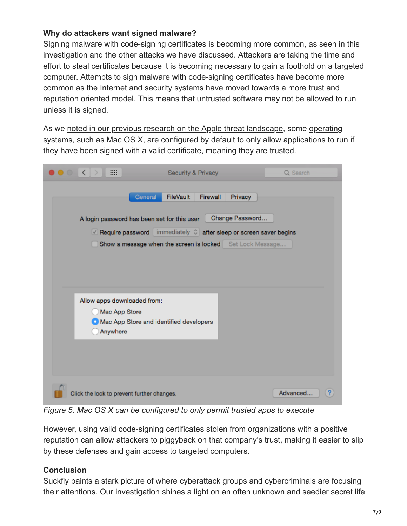#### **Why do attackers want signed malware?**

Signing malware with code-signing certificates is becoming more common, as seen in this investigation and the other attacks we have discussed. Attackers are taking the time and effort to steal certificates because it is becoming necessary to gain a foothold on a targeted computer. Attempts to sign malware with code-signing certificates have become more common as the Internet and security systems have moved towards a more trust and reputation oriented model. This means that untrusted software may not be allowed to run unless it is signed.

[As we noted in our previous research on the Apple threat landscape, some operating](https://support.apple.com/en-us/HT202491) systems, such as Mac OS X, are configured by default to only allow applications to run if they have been signed with a valid certificate, meaning they are trusted.

| ₩<br>≺<br>$\circ$                                                                                                                                                                                                                                            | <b>Security &amp; Privacy</b> | Q Search |
|--------------------------------------------------------------------------------------------------------------------------------------------------------------------------------------------------------------------------------------------------------------|-------------------------------|----------|
| General<br>FileVault<br>Firewall<br>Privacy<br>Change Password<br>A login password has been set for this user<br>$\vee$ Require password immediately $\circ$ after sleep or screen saver begins<br>Show a message when the screen is locked Set Lock Message |                               |          |
| Allow apps downloaded from:                                                                                                                                                                                                                                  |                               |          |
| Mac App Store<br>Mac App Store and identified developers<br>Anywhere                                                                                                                                                                                         |                               |          |
|                                                                                                                                                                                                                                                              |                               |          |
| Click the lock to prevent further changes.                                                                                                                                                                                                                   |                               | Advanced |

*Figure 5. Mac OS X can be configured to only permit trusted apps to execute*

However, using valid code-signing certificates stolen from organizations with a positive reputation can allow attackers to piggyback on that company's trust, making it easier to slip by these defenses and gain access to targeted computers.

## **Conclusion**

Suckfly paints a stark picture of where cyberattack groups and cybercriminals are focusing their attentions. Our investigation shines a light on an often unknown and seedier secret life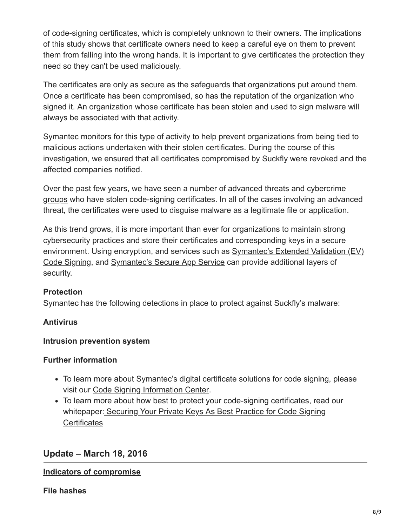of code-signing certificates, which is completely unknown to their owners. The implications of this study shows that certificate owners need to keep a careful eye on them to prevent them from falling into the wrong hands. It is important to give certificates the protection they need so they can't be used maliciously.

The certificates are only as secure as the safeguards that organizations put around them. Once a certificate has been compromised, so has the reputation of the organization who signed it. An organization whose certificate has been stolen and used to sign malware will always be associated with that activity.

Symantec monitors for this type of activity to help prevent organizations from being tied to malicious actions undertaken with their stolen certificates. During the course of this investigation, we ensured that all certificates compromised by Suckfly were revoked and the affected companies notified.

[Over the past few years, we have seen a number of advanced threats and cybercrime](https://community.broadcom.com/symantecenterprise/viewdocument?DocumentKey=237adfd4-eb62-43b4-8424-78ea5f427b80&CommunityKey=1ecf5f55-9545-44d6-b0f4-4e4a7f5f5e68&tab=librarydocuments) groups who have stolen code-signing certificates. In all of the cases involving an advanced threat, the certificates were used to disguise malware as a legitimate file or application.

As this trend grows, it is more important than ever for organizations to maintain strong cybersecurity practices and store their certificates and corresponding keys in a secure [environment. Using encryption, and services such as Symantec's Extended Validation \(EV\)](http://www.symantec.com/code-signing/extended-validation/data-sheets-white-papers/) Code Signing, and [Symantec's Secure App Service](https://www.symantec.com/code-signing/secure-app-service/) can provide additional layers of security.

## **Protection**

Symantec has the following detections in place to protect against Suckfly's malware:

## **Antivirus**

## **Intrusion prevention system**

## **Further information**

- To learn more about Symantec's digital certificate solutions for code signing, please visit our [Code Signing Information Center](https://www.symantec.com/page.jsp?id=code-signing-information-center).
- To learn more about how best to protect your code-signing certificates, read our [whitepaper: Securing Your Private Keys As Best Practice for Code Signing](https://www.symantec.com/content/en/us/enterprise/white_papers/b-securing-your-private-keys-csc-wp.pdf) **Certificates**

# **Update – March 18, 2016**

#### **Indicators of compromise**

**File hashes**